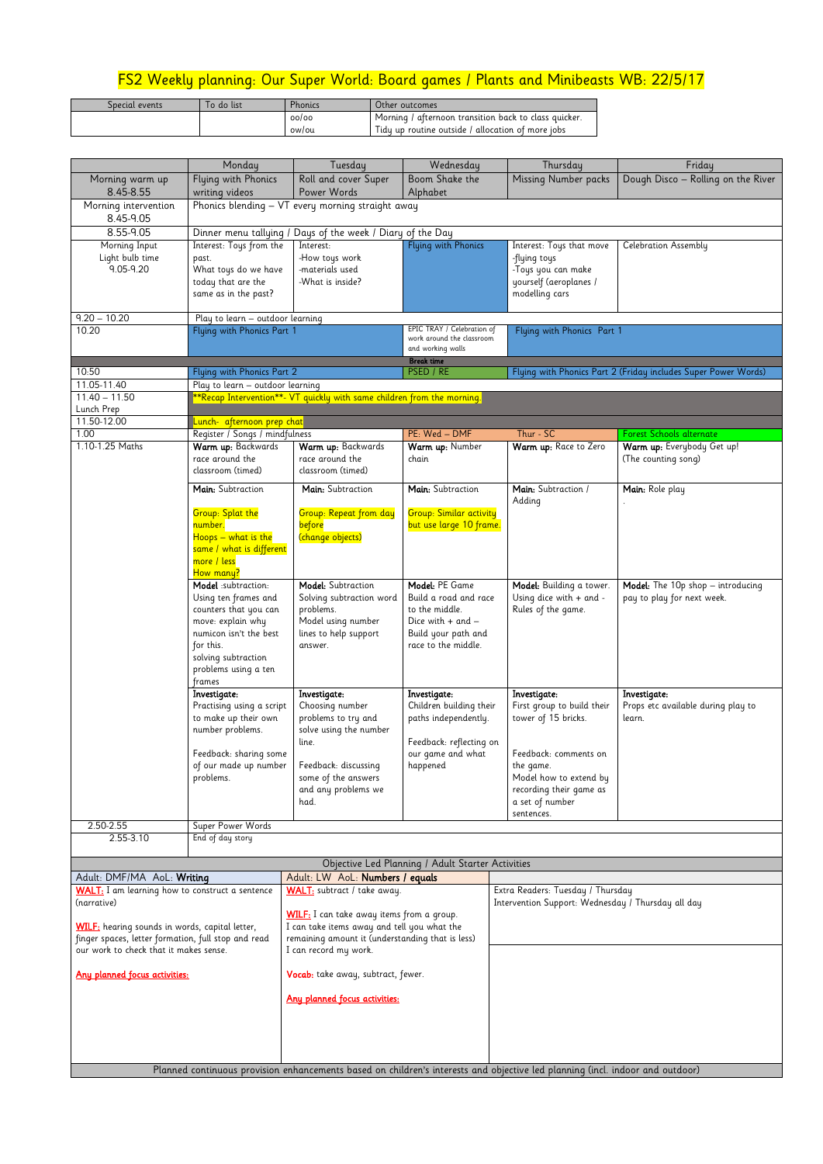## FS2 Weekly planning: Our Super World: Board games / Plants and Minibeasts WB: 22/5/17

| Special events | Γo do list | Phonics | Other outcomes                                        |
|----------------|------------|---------|-------------------------------------------------------|
|                |            | 00/00   | Morning / afternoon transition back to class quicker. |
|                |            | ow/ou   | Tidy up routine outside / allocation of more jobs     |

|                                                                                                                                                        | Monday                                                                                                                                                                                   | Tuesday                                                                                                                                                                 | Wednesday                                                                                                                                           | Thursday                                                                                                                                                                                      | Friday                                                          |  |  |
|--------------------------------------------------------------------------------------------------------------------------------------------------------|------------------------------------------------------------------------------------------------------------------------------------------------------------------------------------------|-------------------------------------------------------------------------------------------------------------------------------------------------------------------------|-----------------------------------------------------------------------------------------------------------------------------------------------------|-----------------------------------------------------------------------------------------------------------------------------------------------------------------------------------------------|-----------------------------------------------------------------|--|--|
| Morning warm up<br>8.45-8.55                                                                                                                           | Flying with Phonics<br>writing videos                                                                                                                                                    | Roll and cover Super<br>Power Words                                                                                                                                     | Boom Shake the<br>Alphabet                                                                                                                          | <b>Missing Number packs</b>                                                                                                                                                                   | Dough Disco - Rolling on the River                              |  |  |
| Morning intervention<br>8.45-9.05                                                                                                                      | Phonics blending - VT every morning straight away                                                                                                                                        |                                                                                                                                                                         |                                                                                                                                                     |                                                                                                                                                                                               |                                                                 |  |  |
| $8.55 - 9.05$<br>Morning Input<br>Light bulb time<br>9.05-9.20                                                                                         | Interest: Toys from the<br>past.<br>What toys do we have<br>today that are the<br>same as in the past?                                                                                   | Dinner menu tallying / Days of the week / Diary of the Day<br>Interest:<br>-How toys work<br>-materials used<br>-What is inside?                                        | Flying with Phonics                                                                                                                                 | Interest: Toys that move<br>-flying toys<br>-Toys you can make<br>yourself (aeroplanes /<br>modelling cars                                                                                    | Celebration Assembly                                            |  |  |
| $9.20 - 10.20$                                                                                                                                         |                                                                                                                                                                                          |                                                                                                                                                                         |                                                                                                                                                     |                                                                                                                                                                                               |                                                                 |  |  |
| 10.20                                                                                                                                                  | Play to learn - outdoor learning<br>Flying with Phonics Part 1                                                                                                                           |                                                                                                                                                                         | EPIC TRAY / Celebration of<br>work around the classroom<br>and working walls                                                                        | Flying with Phonics Part 1                                                                                                                                                                    |                                                                 |  |  |
| 10:50                                                                                                                                                  | Flying with Phonics Part 2                                                                                                                                                               |                                                                                                                                                                         | <b>Break time</b><br>PSED / RE                                                                                                                      | Flying with Phonics Part 2 (Friday includes Super Power Words)                                                                                                                                |                                                                 |  |  |
| 11.05-11.40                                                                                                                                            | Play to learn - outdoor learning                                                                                                                                                         |                                                                                                                                                                         |                                                                                                                                                     |                                                                                                                                                                                               |                                                                 |  |  |
| $11.40 - 11.50$                                                                                                                                        |                                                                                                                                                                                          | **Recap Intervention**- VT quickly with same children from the morning.                                                                                                 |                                                                                                                                                     |                                                                                                                                                                                               |                                                                 |  |  |
| Lunch Prep<br>11.50-12.00                                                                                                                              | Lunch- afternoon prep chat                                                                                                                                                               |                                                                                                                                                                         |                                                                                                                                                     |                                                                                                                                                                                               |                                                                 |  |  |
| 1.00                                                                                                                                                   | Register / Songs / mindfulness                                                                                                                                                           |                                                                                                                                                                         | PE: Wed - DMF                                                                                                                                       | Thur - SC                                                                                                                                                                                     | Forest Schools alternate                                        |  |  |
| 1.10-1.25 Maths                                                                                                                                        | Warm up: Backwards<br>race around the<br>classroom (timed)                                                                                                                               | Warm up: Backwards<br>race around the<br>classroom (timed)                                                                                                              | Warm up: Number<br>chain                                                                                                                            | Warm up: Race to Zero                                                                                                                                                                         | Warm up: Everybody Get up!<br>(The counting song)               |  |  |
|                                                                                                                                                        | Main: Subtraction                                                                                                                                                                        | Main: Subtraction                                                                                                                                                       | Main: Subtraction                                                                                                                                   | Main: Subtraction /<br>Adding                                                                                                                                                                 | Main: Role play                                                 |  |  |
|                                                                                                                                                        | <b>Group: Splat the</b><br>number.<br>Hoops — what is the<br>same / what is different<br>more / less<br>How many?                                                                        | <b>Group: Repeat from day</b><br>before<br>(change objects)                                                                                                             | <b>Group: Similar activity</b><br>but use large 10 frame.                                                                                           |                                                                                                                                                                                               |                                                                 |  |  |
|                                                                                                                                                        | Model:subtraction:<br>Using ten frames and<br>counters that you can<br>move: explain why<br>numicon isn't the best<br>for this.<br>solving subtraction<br>problems using a ten<br>frames | Model: Subtraction<br>Solving subtraction word<br>problems.<br>Model using number<br>lines to help support<br>answer.                                                   | Model: PE Game<br>Build a road and race<br>to the middle.<br>Dice with $+$ and $-$<br>Build your path and<br>race to the middle.                    | Model: Building a tower.<br>Using dice with + and -<br>Rules of the game.                                                                                                                     | Model: The 10p shop - introducing<br>pay to play for next week. |  |  |
|                                                                                                                                                        | Investigate:<br>Practising using a script<br>to make up their own<br>number problems.<br>Feedback: sharing some<br>of our made up number<br>problems.                                    | Investigate:<br>Choosing number<br>problems to try and<br>solve using the number<br>line.<br>Feedback: discussing<br>some of the answers<br>and any problems we<br>had. | Investigate:<br>Children building their<br>paths independently.<br>Feedback: reflecting on<br>our game and what<br>happened                         | Investigate:<br>First group to build their<br>tower of 15 bricks.<br>Feedback: comments on<br>the game.<br>Model how to extend by<br>recording their game as<br>a set of number<br>sentences. | Investigate:<br>Props etc available during play to<br>learn.    |  |  |
| 2.50-2.55                                                                                                                                              | Super Power Words                                                                                                                                                                        |                                                                                                                                                                         |                                                                                                                                                     |                                                                                                                                                                                               |                                                                 |  |  |
| 2.55-3.10                                                                                                                                              | End of day story                                                                                                                                                                         |                                                                                                                                                                         |                                                                                                                                                     |                                                                                                                                                                                               |                                                                 |  |  |
|                                                                                                                                                        |                                                                                                                                                                                          |                                                                                                                                                                         | Objective Led Planning / Adult Starter Activities                                                                                                   |                                                                                                                                                                                               |                                                                 |  |  |
| Adult: DMF/MA AoL: Writing                                                                                                                             |                                                                                                                                                                                          | Adult: LW AoL: Numbers / equals                                                                                                                                         |                                                                                                                                                     |                                                                                                                                                                                               |                                                                 |  |  |
| <b>WALT:</b> I am learning how to construct a sentence<br>(narrative)                                                                                  |                                                                                                                                                                                          | <b>WALT:</b> subtract / take away.                                                                                                                                      |                                                                                                                                                     | Extra Readers: Tuesday / Thursday<br>Intervention Support: Wednesday / Thursday all day                                                                                                       |                                                                 |  |  |
| <b>WILF:</b> hearing sounds in words, capital letter,<br>finger spaces, letter formation, full stop and read<br>our work to check that it makes sense. |                                                                                                                                                                                          | I can record my work.                                                                                                                                                   | <b>WILF:</b> I can take away items from a group.<br>I can take items away and tell you what the<br>remaining amount it (understanding that is less) |                                                                                                                                                                                               |                                                                 |  |  |
| Any planned focus activities:                                                                                                                          |                                                                                                                                                                                          |                                                                                                                                                                         | Vocab: take away, subtract, fewer.                                                                                                                  |                                                                                                                                                                                               |                                                                 |  |  |
|                                                                                                                                                        |                                                                                                                                                                                          | Any planned focus activities:                                                                                                                                           |                                                                                                                                                     |                                                                                                                                                                                               |                                                                 |  |  |
|                                                                                                                                                        |                                                                                                                                                                                          |                                                                                                                                                                         |                                                                                                                                                     | Planned continuous provision enhancements based on children's interests and objective led planning (incl. indoor and outdoor)                                                                 |                                                                 |  |  |